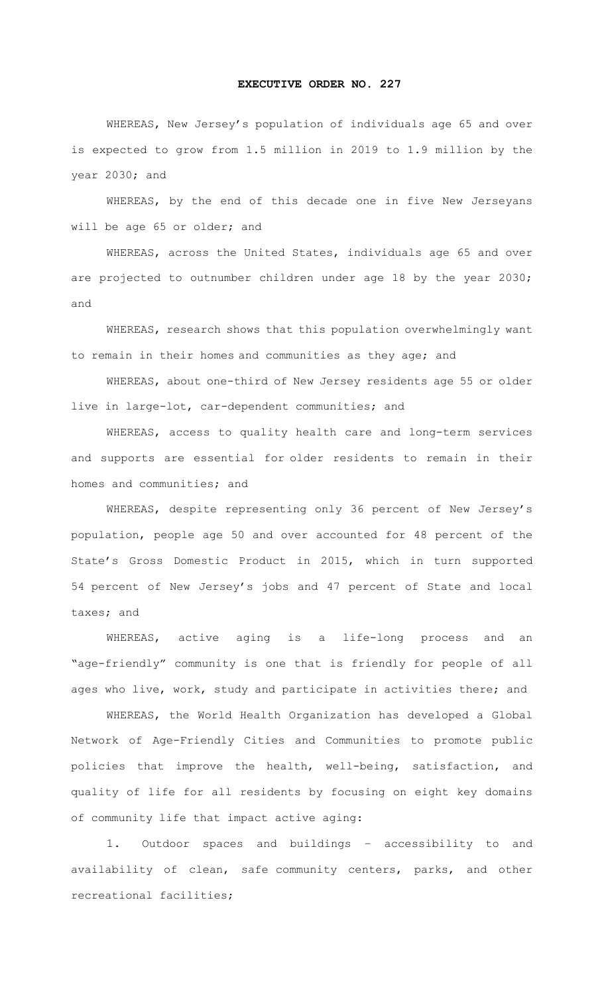## **EXECUTIVE ORDER NO. 227**

WHEREAS, New Jersey's population of individuals age 65 and over is expected to grow from 1.5 million in 2019 to 1.9 million by the year 2030; and

WHEREAS, by the end of this decade one in five New Jerseyans will be age 65 or older; and

WHEREAS, across the United States, individuals age 65 and over are projected to outnumber children under age 18 by the year 2030; and

WHEREAS, research shows that this population overwhelmingly want to remain in their homes and communities as they age; and

WHEREAS, about one-third of New Jersey residents age 55 or older live in large-lot, car-dependent communities; and

WHEREAS, access to quality health care and long-term services and supports are essential for older residents to remain in their homes and communities; and

WHEREAS, despite representing only 36 percent of New Jersey's population, people age 50 and over accounted for 48 percent of the State's Gross Domestic Product in 2015, which in turn supported 54 percent of New Jersey's jobs and 47 percent of State and local taxes; and

WHEREAS, active aging is a life-long process and an "age-friendly" community is one that is friendly for people of all ages who live, work, study and participate in activities there; and

WHEREAS, the World Health Organization has developed a Global Network of Age-Friendly Cities and Communities to promote public policies that improve the health, well-being, satisfaction, and quality of life for all residents by focusing on eight key domains of community life that impact active aging:

1. Outdoor spaces and buildings – accessibility to and availability of clean, safe community centers, parks, and other recreational facilities;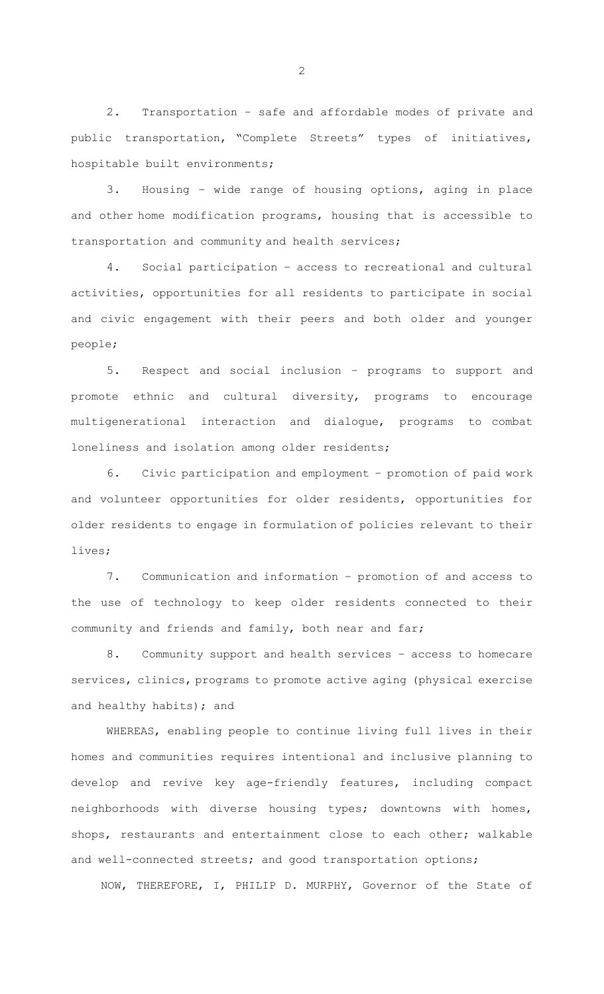2. Transportation – safe and affordable modes of private and public transportation, "Complete Streets" types of initiatives, hospitable built environments;

3. Housing – wide range of housing options, aging in place and other home modification programs, housing that is accessible to transportation and community and health services;

4. Social participation – access to recreational and cultural activities, opportunities for all residents to participate in social and civic engagement with their peers and both older and younger people;

5. Respect and social inclusion – programs to support and promote ethnic and cultural diversity, programs to encourage multigenerational interaction and dialogue, programs to combat loneliness and isolation among older residents;

Civic participation and employment - promotion of paid work and volunteer opportunities for older residents, opportunities for older residents to engage in formulation of policies relevant to their lives;

7. Communication and information – promotion of and access to the use of technology to keep older residents connected to their community and friends and family, both near and far;

8. Community support and health services – access to homecare services, clinics, programs to promote active aging (physical exercise and healthy habits); and

WHEREAS, enabling people to continue living full lives in their homes and communities requires intentional and inclusive planning to develop and revive key age-friendly features, including compact neighborhoods with diverse housing types; downtowns with homes, shops, restaurants and entertainment close to each other; walkable and well-connected streets; and good transportation options;

NOW, THEREFORE, I, PHILIP D. MURPHY, Governor of the State of

2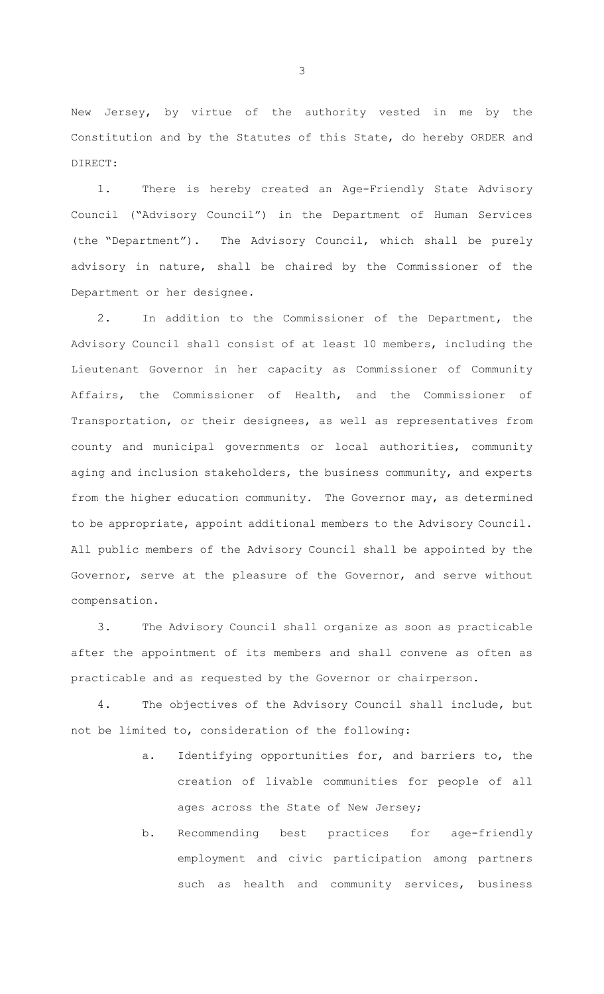New Jersey, by virtue of the authority vested in me by the Constitution and by the Statutes of this State, do hereby ORDER and DIRECT:

1. There is hereby created an Age-Friendly State Advisory Council ("Advisory Council") in the Department of Human Services (the "Department"). The Advisory Council, which shall be purely advisory in nature, shall be chaired by the Commissioner of the Department or her designee.

2. In addition to the Commissioner of the Department, the Advisory Council shall consist of at least 10 members, including the Lieutenant Governor in her capacity as Commissioner of Community Affairs, the Commissioner of Health, and the Commissioner of Transportation, or their designees, as well as representatives from county and municipal governments or local authorities, community aging and inclusion stakeholders, the business community, and experts from the higher education community. The Governor may, as determined to be appropriate, appoint additional members to the Advisory Council. All public members of the Advisory Council shall be appointed by the Governor, serve at the pleasure of the Governor, and serve without compensation.

3. The Advisory Council shall organize as soon as practicable after the appointment of its members and shall convene as often as practicable and as requested by the Governor or chairperson.

4. The objectives of the Advisory Council shall include, but not be limited to, consideration of the following:

- a. Identifying opportunities for, and barriers to, the creation of livable communities for people of all ages across the State of New Jersey;
- b. Recommending best practices for age-friendly employment and civic participation among partners such as health and community services, business

3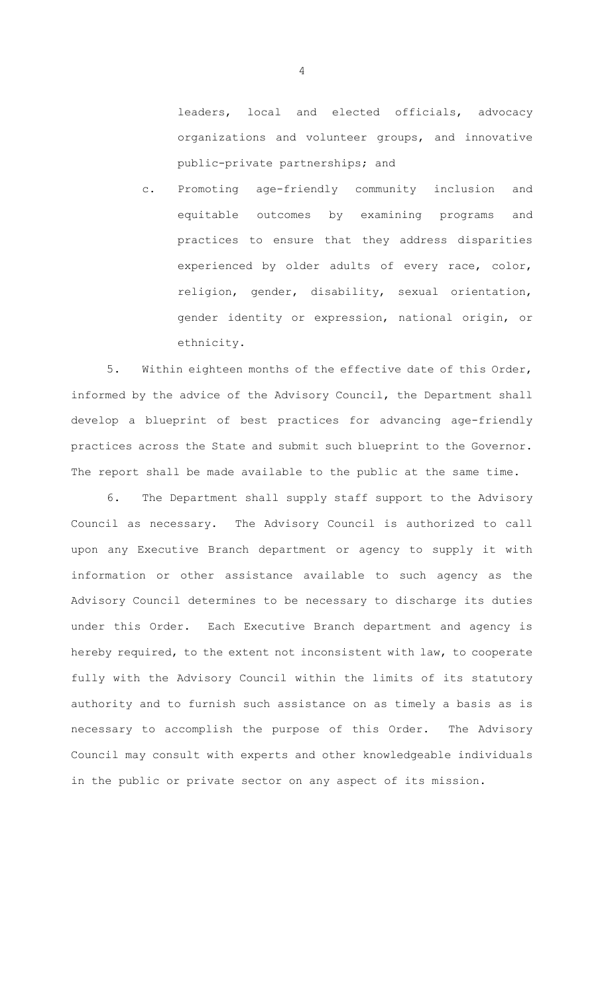leaders, local and elected officials, advocacy organizations and volunteer groups, and innovative public-private partnerships; and

c. Promoting age-friendly community inclusion and equitable outcomes by examining programs and practices to ensure that they address disparities experienced by older adults of every race, color, religion, gender, disability, sexual orientation, gender identity or expression, national origin, or ethnicity.

5. Within eighteen months of the effective date of this Order, informed by the advice of the Advisory Council, the Department shall develop a blueprint of best practices for advancing age-friendly practices across the State and submit such blueprint to the Governor. The report shall be made available to the public at the same time.

6. The Department shall supply staff support to the Advisory Council as necessary. The Advisory Council is authorized to call upon any Executive Branch department or agency to supply it with information or other assistance available to such agency as the Advisory Council determines to be necessary to discharge its duties under this Order. Each Executive Branch department and agency is hereby required, to the extent not inconsistent with law, to cooperate fully with the Advisory Council within the limits of its statutory authority and to furnish such assistance on as timely a basis as is necessary to accomplish the purpose of this Order. The Advisory Council may consult with experts and other knowledgeable individuals in the public or private sector on any aspect of its mission.

4